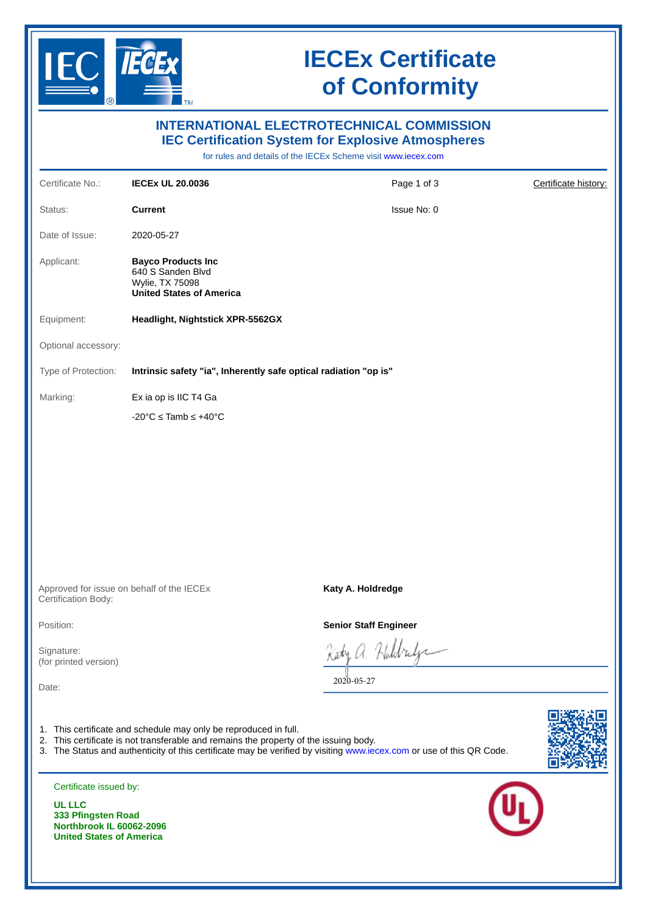

## **IECEx Certificate of Conformity**

| <b>INTERNATIONAL ELECTROTECHNICAL COMMISSION</b><br><b>IEC Certification System for Explosive Atmospheres</b><br>for rules and details of the IECEx Scheme visit www.iecex.com                                                                                                    |                                                                                                      |                              |                      |  |
|-----------------------------------------------------------------------------------------------------------------------------------------------------------------------------------------------------------------------------------------------------------------------------------|------------------------------------------------------------------------------------------------------|------------------------------|----------------------|--|
| Certificate No.:                                                                                                                                                                                                                                                                  | <b>IECEX UL 20.0036</b>                                                                              | Page 1 of 3                  | Certificate history: |  |
| Status:                                                                                                                                                                                                                                                                           | <b>Current</b>                                                                                       | Issue No: 0                  |                      |  |
| Date of Issue:                                                                                                                                                                                                                                                                    | 2020-05-27                                                                                           |                              |                      |  |
| Applicant:                                                                                                                                                                                                                                                                        | <b>Bayco Products Inc</b><br>640 S Sanden Blvd<br>Wylie, TX 75098<br><b>United States of America</b> |                              |                      |  |
| Equipment:                                                                                                                                                                                                                                                                        | <b>Headlight, Nightstick XPR-5562GX</b>                                                              |                              |                      |  |
| Optional accessory:                                                                                                                                                                                                                                                               |                                                                                                      |                              |                      |  |
| Type of Protection:                                                                                                                                                                                                                                                               | Intrinsic safety "ia", Inherently safe optical radiation "op is"                                     |                              |                      |  |
| Marking:                                                                                                                                                                                                                                                                          | Ex ia op is IIC T4 Ga                                                                                |                              |                      |  |
|                                                                                                                                                                                                                                                                                   | $-20^{\circ}$ C $\leq$ Tamb $\leq$ +40 $^{\circ}$ C                                                  |                              |                      |  |
| Approved for issue on behalf of the IECEx                                                                                                                                                                                                                                         |                                                                                                      | Katy A. Holdredge            |                      |  |
| Certification Body:                                                                                                                                                                                                                                                               |                                                                                                      |                              |                      |  |
| Position:                                                                                                                                                                                                                                                                         |                                                                                                      | <b>Senior Staff Engineer</b> |                      |  |
| Signature:<br>(for printed version)<br>Date:                                                                                                                                                                                                                                      |                                                                                                      | 2020-05-27                   |                      |  |
| 1. This certificate and schedule may only be reproduced in full.<br>2. This certificate is not transferable and remains the property of the issuing body.<br>3. The Status and authenticity of this certificate may be verified by visiting www.iecex.com or use of this QR Code. |                                                                                                      |                              |                      |  |
| Certificate issued by:<br><b>UL LLC</b><br>333 Pfingsten Road<br>Northbrook IL 60062-2096<br><b>United States of America</b>                                                                                                                                                      |                                                                                                      |                              |                      |  |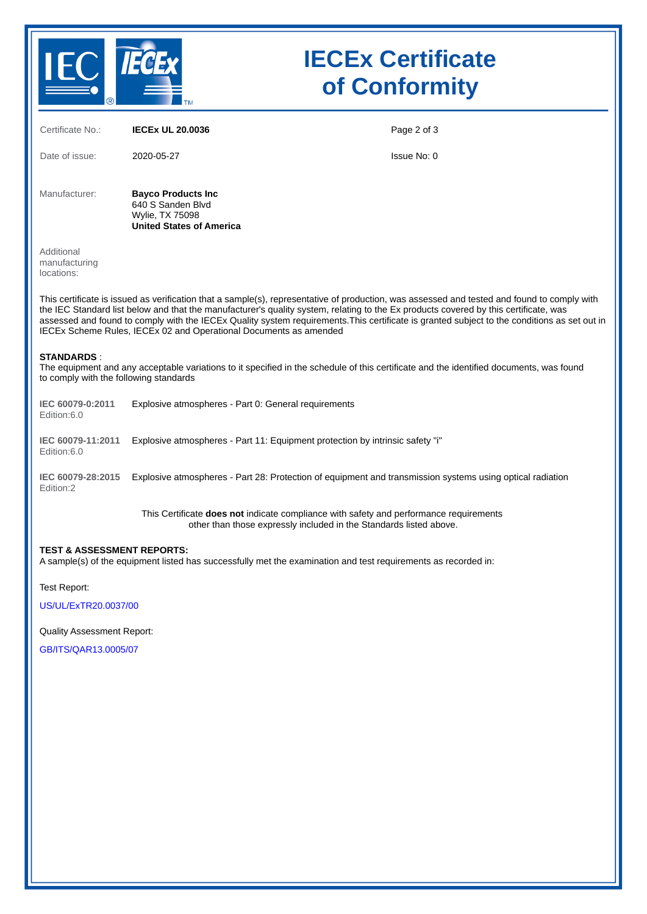

## **IECEx Certificate of Conformity**

| Certificate No.:                                                                                                                                                                                                                                                                                                                                                                                                                                                                                         | <b>IECEX UL 20.0036</b>                                                                                                                                      | Page 2 of 3 |  |  |
|----------------------------------------------------------------------------------------------------------------------------------------------------------------------------------------------------------------------------------------------------------------------------------------------------------------------------------------------------------------------------------------------------------------------------------------------------------------------------------------------------------|--------------------------------------------------------------------------------------------------------------------------------------------------------------|-------------|--|--|
| Date of issue:                                                                                                                                                                                                                                                                                                                                                                                                                                                                                           | 2020-05-27                                                                                                                                                   | Issue No: 0 |  |  |
| Manufacturer:                                                                                                                                                                                                                                                                                                                                                                                                                                                                                            | <b>Bayco Products Inc</b><br>640 S Sanden Blvd<br><b>Wylie, TX 75098</b><br><b>United States of America</b>                                                  |             |  |  |
| Additional<br>manufacturing<br>locations:                                                                                                                                                                                                                                                                                                                                                                                                                                                                |                                                                                                                                                              |             |  |  |
| This certificate is issued as verification that a sample(s), representative of production, was assessed and tested and found to comply with<br>the IEC Standard list below and that the manufacturer's quality system, relating to the Ex products covered by this certificate, was<br>assessed and found to comply with the IECEx Quality system requirements. This certificate is granted subject to the conditions as set out in<br>IECEx Scheme Rules, IECEx 02 and Operational Documents as amended |                                                                                                                                                              |             |  |  |
| <b>STANDARDS:</b><br>The equipment and any acceptable variations to it specified in the schedule of this certificate and the identified documents, was found<br>to comply with the following standards                                                                                                                                                                                                                                                                                                   |                                                                                                                                                              |             |  |  |
| IEC 60079-0:2011<br>Edition:6.0                                                                                                                                                                                                                                                                                                                                                                                                                                                                          | Explosive atmospheres - Part 0: General requirements                                                                                                         |             |  |  |
| IEC 60079-11:2011<br>Edition:6.0                                                                                                                                                                                                                                                                                                                                                                                                                                                                         | Explosive atmospheres - Part 11: Equipment protection by intrinsic safety "i"                                                                                |             |  |  |
| IEC 60079-28:2015<br>Edition:2                                                                                                                                                                                                                                                                                                                                                                                                                                                                           | Explosive atmospheres - Part 28: Protection of equipment and transmission systems using optical radiation                                                    |             |  |  |
|                                                                                                                                                                                                                                                                                                                                                                                                                                                                                                          | This Certificate does not indicate compliance with safety and performance requirements<br>other than those expressly included in the Standards listed above. |             |  |  |
| <b>TEST &amp; ASSESSMENT REPORTS:</b><br>A sample(s) of the equipment listed has successfully met the examination and test requirements as recorded in:                                                                                                                                                                                                                                                                                                                                                  |                                                                                                                                                              |             |  |  |

Test Report:

[US/UL/ExTR20.0037/00](https://www.iecex-certs.com/deliverables/REPORT/64338/view)

Quality Assessment Report:

[GB/ITS/QAR13.0005/07](https://www.iecex-certs.com/deliverables/REPORT/64799/view)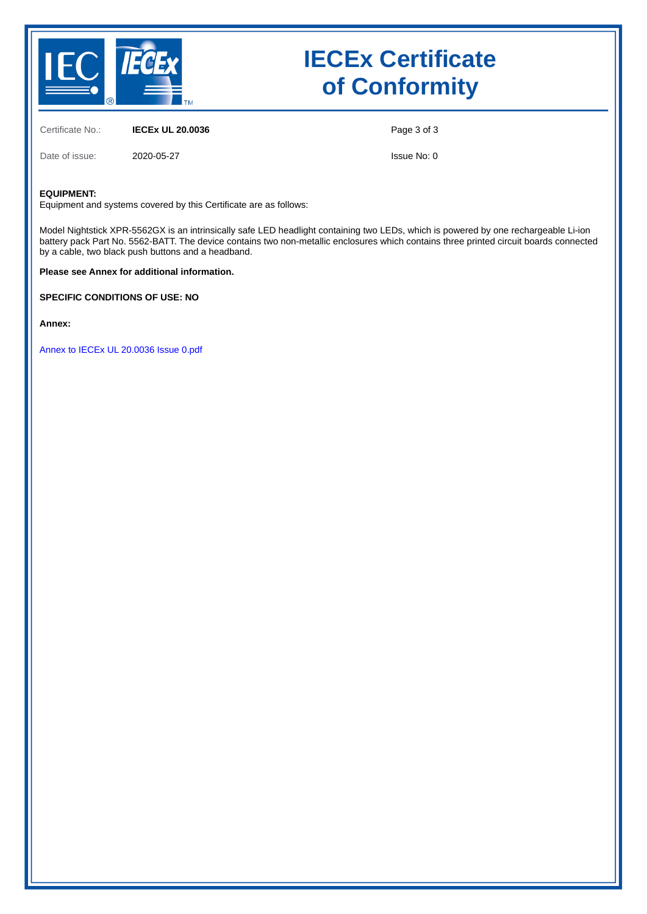

### **IECEx Certificate of Conformity**

Certificate No.: **IECEx UL 20.0036**

Date of issue: 2020-05-27

Page 3 of 3

Issue No: 0

#### **EQUIPMENT:**

Equipment and systems covered by this Certificate are as follows:

Model Nightstick XPR-5562GX is an intrinsically safe LED headlight containing two LEDs, which is powered by one rechargeable Li-ion battery pack Part No. 5562-BATT. The device contains two non-metallic enclosures which contains three printed circuit boards connected by a cable, two black push buttons and a headband.

**Please see Annex for additional information.**

**SPECIFIC CONDITIONS OF USE: NO**

**Annex:**

[Annex to IECEx UL 20.0036 Issue 0.pdf](https://www.iecex-certs.com/deliverables/CERT/47189/view)